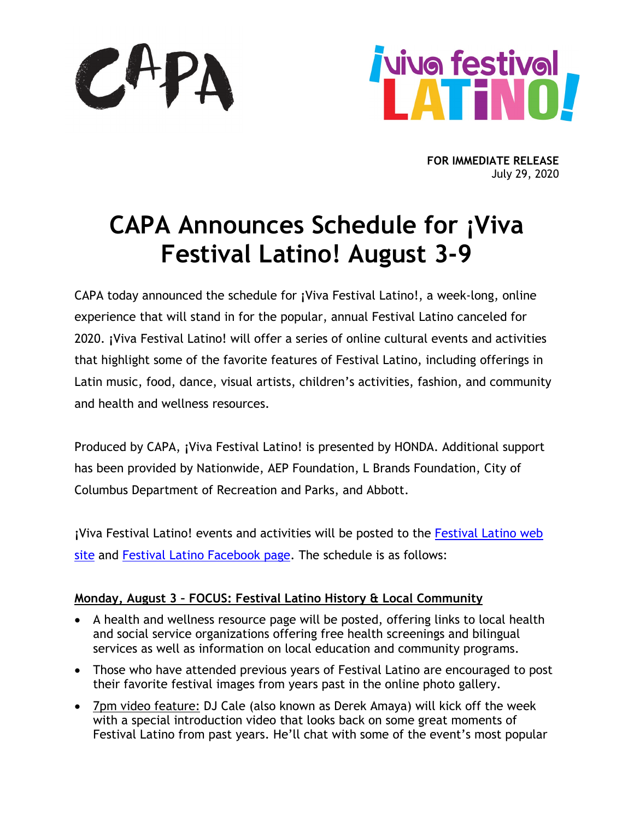

**FOR IMMEDIATE RELEASE** July 29, 2020

# **CAPA Announces Schedule for ¡Viva Festival Latino! August 3-9**

CAPA today announced the schedule for **¡**Viva Festival Latino!, a week-long, online experience that will stand in for the popular, annual Festival Latino canceled for 2020. **¡**Viva Festival Latino! will offer a series of online cultural events and activities that highlight some of the favorite features of Festival Latino, including offerings in Latin music, food, dance, visual artists, children's activities, fashion, and community and health and wellness resources.

Produced by CAPA, **¡**Viva Festival Latino! is presented by HONDA. Additional support has been provided by Nationwide, AEP Foundation, L Brands Foundation, City of Columbus Department of Recreation and Parks, and Abbott.

**¡**Viva Festival Latino! events and activities will be posted to the [Festival Latino web](http://festivallatino.net/) [site](http://festivallatino.net/) and [Festival Latino Facebook page.](https://www.facebook.com/festivallatino/) The schedule is as follows:

## **Monday, August 3 – FOCUS: Festival Latino History & Local Community**

- A health and wellness resource page will be posted, offering links to local health and social service organizations offering free health screenings and bilingual services as well as information on local education and community programs.
- Those who have attended previous years of Festival Latino are encouraged to post their favorite festival images from years past in the online photo gallery.
- 7pm video feature: DJ Cale (also known as Derek Amaya) will kick off the week with a special introduction video that looks back on some great moments of Festival Latino from past years. He'll chat with some of the event's most popular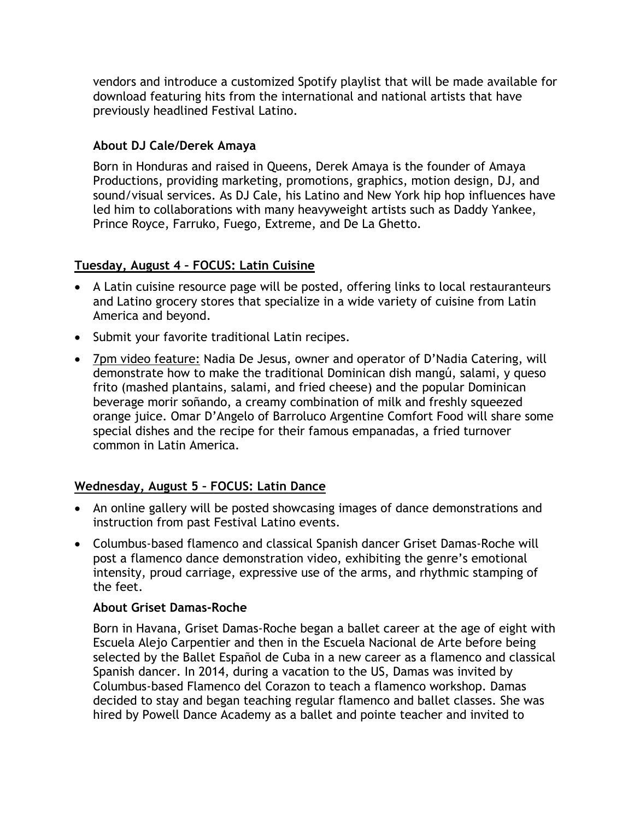vendors and introduce a customized Spotify playlist that will be made available for download featuring hits from the international and national artists that have previously headlined Festival Latino.

## **About DJ Cale/Derek Amaya**

Born in Honduras and raised in Queens, Derek Amaya is the founder of Amaya Productions, providing marketing, promotions, graphics, motion design, DJ, and sound/visual services. As DJ Cale, his Latino and New York hip hop influences have led him to collaborations with many heavyweight artists such as Daddy Yankee, Prince Royce, Farruko, Fuego, Extreme, and De La Ghetto.

### **Tuesday, August 4 – FOCUS: Latin Cuisine**

- A Latin cuisine resource page will be posted, offering links to local restauranteurs and Latino grocery stores that specialize in a wide variety of cuisine from Latin America and beyond.
- Submit your favorite traditional Latin recipes.
- 7pm video feature: Nadia De Jesus, owner and operator of D'Nadia Catering, will demonstrate how to make the traditional Dominican dish mangú, salami, y queso frito (mashed plantains, salami, and fried cheese) and the popular Dominican beverage morir soñando, a creamy combination of milk and freshly squeezed orange juice. Omar D'Angelo of Barroluco Argentine Comfort Food will share some special dishes and the recipe for their famous empanadas, a fried turnover common in Latin America.

## **Wednesday, August 5 – FOCUS: Latin Dance**

- An online gallery will be posted showcasing images of dance demonstrations and instruction from past Festival Latino events.
- Columbus-based flamenco and classical Spanish dancer Griset Damas-Roche will post a flamenco dance demonstration video, exhibiting the genre's emotional intensity, proud carriage, expressive use of the arms, and rhythmic stamping of the feet.

#### **About Griset Damas-Roche**

Born in Havana, Griset Damas-Roche began a ballet career at the age of eight with Escuela Alejo Carpentier and then in the Escuela Nacional de Arte before being selected by the Ballet Español de Cuba in a new career as a flamenco and classical Spanish dancer. In 2014, during a vacation to the US, Damas was invited by Columbus-based Flamenco del Corazon to teach a flamenco workshop. Damas decided to stay and began teaching regular flamenco and ballet classes. She was hired by Powell Dance Academy as a ballet and pointe teacher and invited to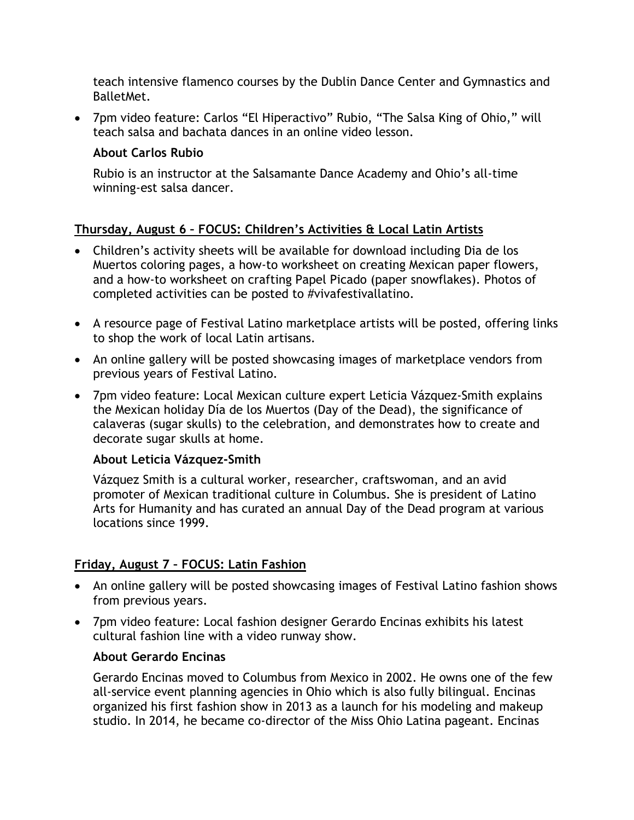teach intensive flamenco courses by the Dublin Dance Center and Gymnastics and BalletMet.

• 7pm video feature: Carlos "El Hiperactivo" Rubio, "The Salsa King of Ohio," will teach salsa and bachata dances in an online video lesson.

## **About Carlos Rubio**

Rubio is an instructor at the Salsamante Dance Academy and Ohio's all-time winning-est salsa dancer.

## **Thursday, August 6 – FOCUS: Children's Activities & Local Latin Artists**

- Children's activity sheets will be available for download including Dia de los Muertos coloring pages, a how-to worksheet on creating Mexican paper flowers, and a how-to worksheet on crafting Papel Picado (paper snowflakes). Photos of completed activities can be posted to #vivafestivallatino.
- A resource page of Festival Latino marketplace artists will be posted, offering links to shop the work of local Latin artisans.
- An online gallery will be posted showcasing images of marketplace vendors from previous years of Festival Latino.
- 7pm video feature: Local Mexican culture expert Leticia Vázquez-Smith explains the Mexican holiday Día de los Muertos (Day of the Dead), the significance of calaveras (sugar skulls) to the celebration, and demonstrates how to create and decorate sugar skulls at home.

#### **About Leticia Vázquez-Smith**

Vázquez Smith is a cultural worker, researcher, craftswoman, and an avid promoter of Mexican traditional culture in Columbus. She is president of Latino Arts for Humanity and has curated an annual Day of the Dead program at various locations since 1999.

## **Friday, August 7 – FOCUS: Latin Fashion**

- An online gallery will be posted showcasing images of Festival Latino fashion shows from previous years.
- 7pm video feature: Local fashion designer Gerardo Encinas exhibits his latest cultural fashion line with a video runway show.

## **About Gerardo Encinas**

Gerardo Encinas moved to Columbus from Mexico in 2002. He owns one of the few all-service event planning agencies in Ohio which is also fully bilingual. Encinas organized his first fashion show in 2013 as a launch for his modeling and makeup studio. In 2014, he became co-director of the Miss Ohio Latina pageant. Encinas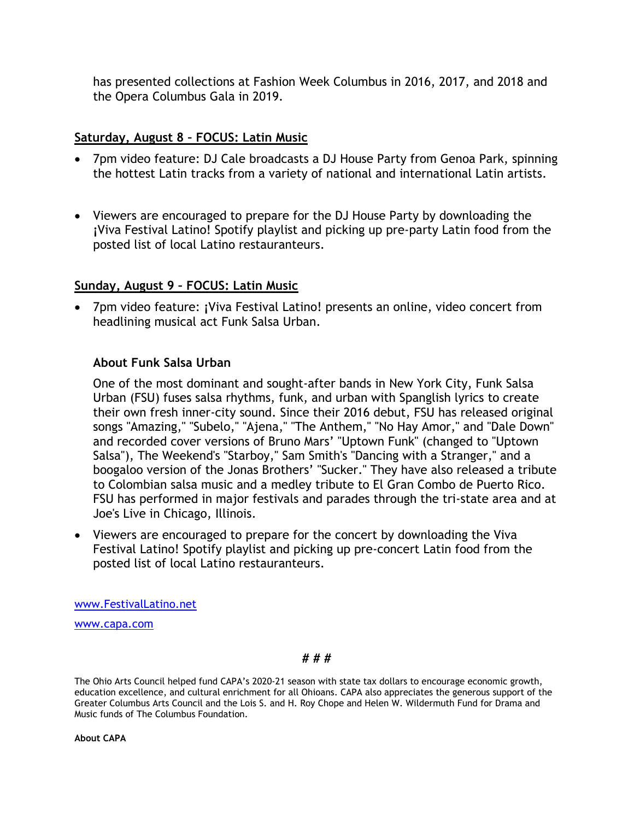has presented collections at Fashion Week Columbus in 2016, 2017, and 2018 and the Opera Columbus Gala in 2019.

## **Saturday, August 8 – FOCUS: Latin Music**

- 7pm video feature: DJ Cale broadcasts a DJ House Party from Genoa Park, spinning the hottest Latin tracks from a variety of national and international Latin artists.
- Viewers are encouraged to prepare for the DJ House Party by downloading the **¡**Viva Festival Latino! Spotify playlist and picking up pre-party Latin food from the posted list of local Latino restauranteurs.

#### **Sunday, August 9 – FOCUS: Latin Music**

• 7pm video feature: **¡**Viva Festival Latino! presents an online, video concert from headlining musical act Funk Salsa Urban.

### **About Funk Salsa Urban**

One of the most dominant and sought-after bands in New York City, Funk Salsa Urban (FSU) fuses salsa rhythms, funk, and urban with Spanglish lyrics to create their own fresh inner-city sound. Since their 2016 debut, FSU has released original songs "Amazing," "Subelo," "Ajena," "The Anthem," "No Hay Amor," and "Dale Down" and recorded cover versions of Bruno Mars' "Uptown Funk" (changed to "Uptown Salsa"), The Weekend's "Starboy," Sam Smith's "Dancing with a Stranger," and a boogaloo version of the Jonas Brothers' "Sucker." They have also released a tribute to Colombian salsa music and a medley tribute to El Gran Combo de Puerto Rico. FSU has performed in major festivals and parades through the tri-state area and at Joe's Live in Chicago, Illinois.

• Viewers are encouraged to prepare for the concert by downloading the Viva Festival Latino! Spotify playlist and picking up pre-concert Latin food from the posted list of local Latino restauranteurs.

[www.FestivalLatino.net](http://www.festivallatino.net/) 

[www.capa.com](http://www.capa.com/)

#### **# # #**

The Ohio Arts Council helped fund CAPA's 2020-21 season with state tax dollars to encourage economic growth, education excellence, and cultural enrichment for all Ohioans. CAPA also appreciates the generous support of the Greater Columbus Arts Council and the Lois S. and H. Roy Chope and Helen W. Wildermuth Fund for Drama and Music funds of The Columbus Foundation.

**About CAPA**